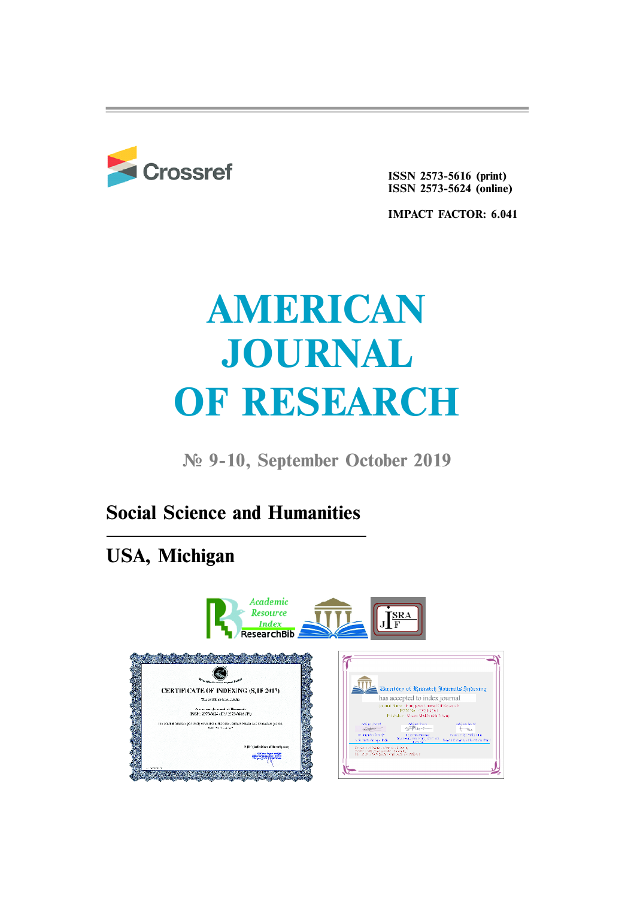

**ISSN 2573-5616 (print) ISSN 2573-5624 (online)**

**IMPACT FACTOR: 6.041**

# **AMERICAN JOURNAL OF RESEARCH**

**¹ 9-10, September October 2019**

## **Social Science and Humanities**

## **USA, Michigan**

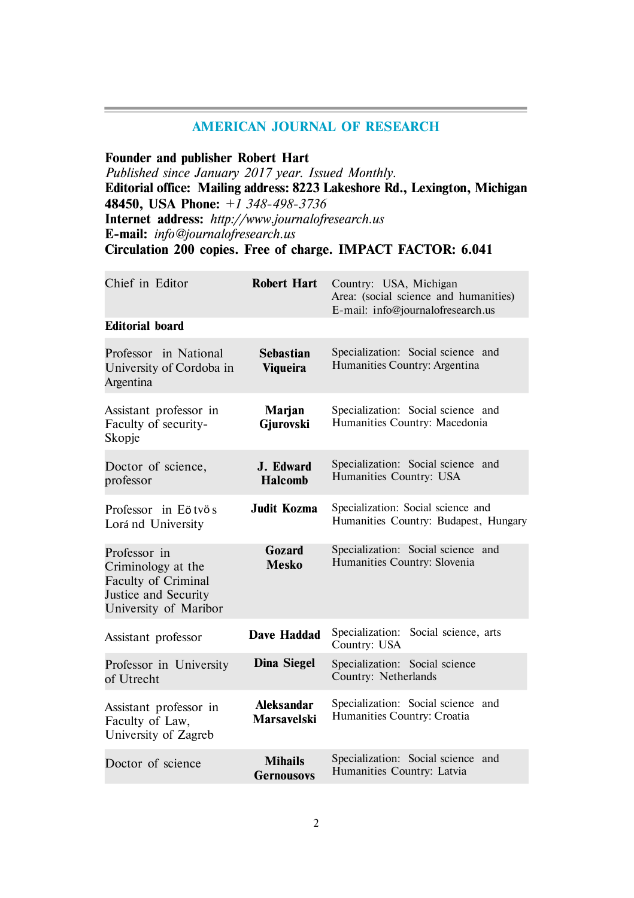### **AMERICAN JOURNAL OF RESEARCH**

**Founder and publisher Robert Hart**

*Published since January 2017 year. Issued Monthly.* **Editorial office: Mailing address: 8223 Lakeshore Rd., Lexington, Michigan 48450, USA Phone:** *+1 348-498-3736* **Internet address:** *http://www.journalofresearch.us* **E-mail:** *info@journalofresearch.us* **Circulation 200 copies. Free of charge. IMPACT FACTOR: 6.041**

| Chief in Editor                                                                                            | Robert Hart                         | Country: USA, Michigan<br>Area: (social science and humanities)<br>E-mail: info@journalofresearch.us |
|------------------------------------------------------------------------------------------------------------|-------------------------------------|------------------------------------------------------------------------------------------------------|
| <b>Editorial board</b>                                                                                     |                                     |                                                                                                      |
| Professor in National<br>University of Cordoba in<br>Argentina                                             | <b>Sebastian</b><br><b>Viqueira</b> | Specialization: Social science and<br>Humanities Country: Argentina                                  |
| Assistant professor in<br>Faculty of security-<br>Skopje                                                   | Marjan<br>Gjurovski                 | Specialization: Social science and<br>Humanities Country: Macedonia                                  |
| Doctor of science,<br>professor                                                                            | J. Edward<br><b>Halcomb</b>         | Specialization: Social science and<br>Humanities Country: USA                                        |
| Professor in Eötvös<br>Lorá nd University                                                                  | Judit Kozma                         | Specialization: Social science and<br>Humanities Country: Budapest, Hungary                          |
| Professor in<br>Criminology at the<br>Faculty of Criminal<br>Justice and Security<br>University of Maribor | Gozard<br>Mesko                     | Specialization: Social science and<br>Humanities Country: Slovenia                                   |
| Assistant professor                                                                                        | Dave Haddad                         | Specialization:<br>Social science, arts<br>Country: USA                                              |
| Professor in University<br>of Utrecht                                                                      | Dina Siegel                         | Specialization: Social science<br>Country: Netherlands                                               |
| Assistant professor in<br>Faculty of Law,<br>University of Zagreb                                          | Aleksandar<br><b>Marsavelski</b>    | Specialization: Social science and<br>Humanities Country: Croatia                                    |
| Doctor of science                                                                                          | <b>Mihails</b><br><b>Gernousovs</b> | Specialization: Social science and<br>Humanities Country: Latvia                                     |